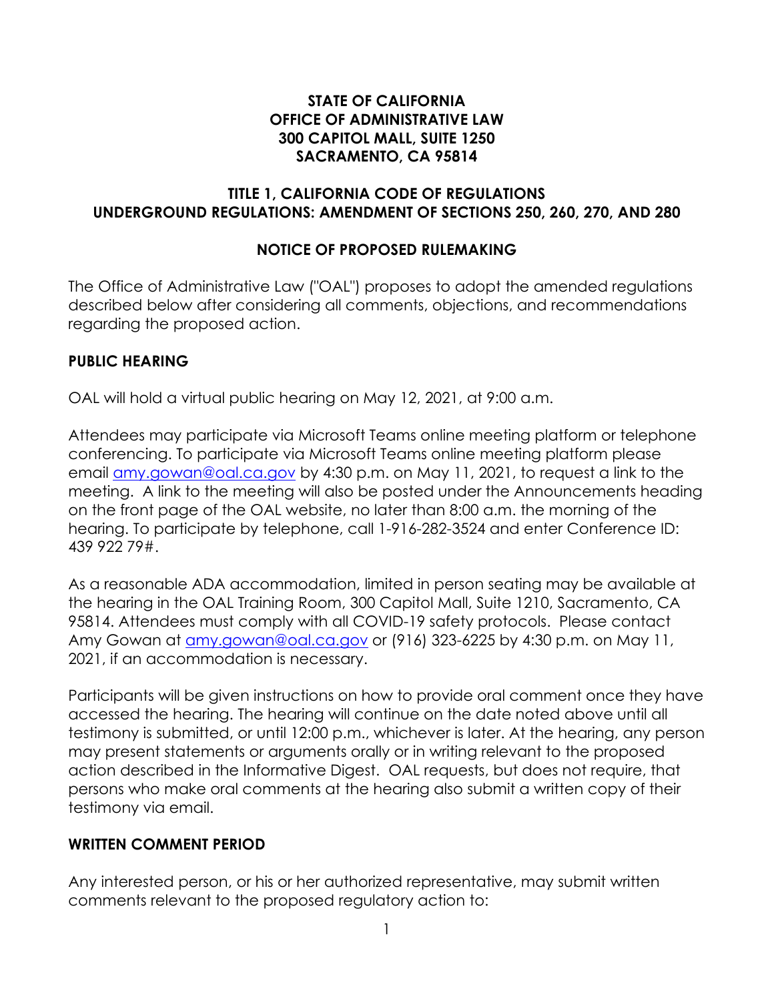#### **STATE OF CALIFORNIA OFFICE OF ADMINISTRATIVE LAW 300 CAPITOL MALL, SUITE 1250 SACRAMENTO, CA 95814**

#### **TITLE 1, CALIFORNIA CODE OF REGULATIONS UNDERGROUND REGULATIONS: AMENDMENT OF SECTIONS 250, 260, 270, AND 280**

# **NOTICE OF PROPOSED RULEMAKING**

The Office of Administrative Law ("OAL") proposes to adopt the amended regulations described below after considering all comments, objections, and recommendations regarding the proposed action.

#### **PUBLIC HEARING**

OAL will hold a virtual public hearing on May 12, 2021, at 9:00 a.m.

Attendees may participate via Microsoft Teams online meeting platform or telephone conferencing. To participate via Microsoft Teams online meeting platform please email [amy.gowan@oal.ca.gov](mailto:amy.gowan@oal.ca.gov) by 4:30 p.m. on May 11, 2021, to request a link to the meeting. A link to the meeting will also be posted under the Announcements heading on the front page of the OAL website, no later than 8:00 a.m. the morning of the hearing. To participate by telephone, call 1-916-282-3524 and enter Conference ID: 439 922 79#.

As a reasonable ADA accommodation, limited in person seating may be available at the hearing in the OAL Training Room, 300 Capitol Mall, Suite 1210, Sacramento, CA 95814. Attendees must comply with all COVID-19 safety protocols. Please contact Amy Gowan at [amy.gowan@oal.ca.gov](mailto:amy.gowan@oal.ca.gov) or (916) 323-6225 by 4:30 p.m. on May 11, 2021, if an accommodation is necessary.

Participants will be given instructions on how to provide oral comment once they have accessed the hearing. The hearing will continue on the date noted above until all testimony is submitted, or until 12:00 p.m., whichever is later. At the hearing, any person may present statements or arguments orally or in writing relevant to the proposed action described in the Informative Digest. OAL requests, but does not require, that persons who make oral comments at the hearing also submit a written copy of their testimony via email.

#### **WRITTEN COMMENT PERIOD**

Any interested person, or his or her authorized representative, may submit written comments relevant to the proposed regulatory action to: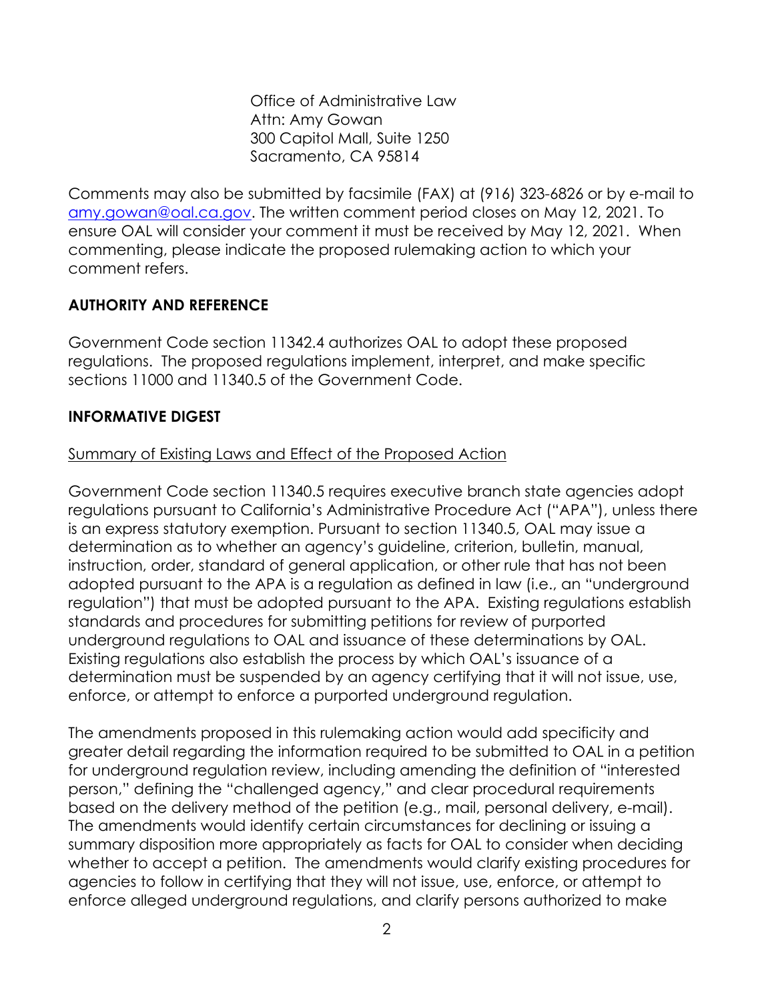Office of Administrative Law Attn: Amy Gowan 300 Capitol Mall, Suite 1250 Sacramento, CA 95814

Comments may also be submitted by facsimile (FAX) at (916) 323-6826 or by e-mail to [amy.gowan@oal.ca.gov.](mailto:amy.gowan@oal.ca.gov) The written comment period closes on May 12, 2021. To ensure OAL will consider your comment it must be received by May 12, 2021. When commenting, please indicate the proposed rulemaking action to which your comment refers.

# **AUTHORITY AND REFERENCE**

Government Code section 11342.4 authorizes OAL to adopt these proposed regulations. The proposed regulations implement, interpret, and make specific sections 11000 and 11340.5 of the Government Code.

# **INFORMATIVE DIGEST**

### Summary of Existing Laws and Effect of the Proposed Action

Government Code section 11340.5 requires executive branch state agencies adopt regulations pursuant to California's Administrative Procedure Act ("APA"), unless there is an express statutory exemption. Pursuant to section 11340.5, OAL may issue a determination as to whether an agency's guideline, criterion, bulletin, manual, instruction, order, standard of general application, or other rule that has not been adopted pursuant to the APA is a regulation as defined in law (i.e., an "underground regulation") that must be adopted pursuant to the APA. Existing regulations establish standards and procedures for submitting petitions for review of purported underground regulations to OAL and issuance of these determinations by OAL. Existing regulations also establish the process by which OAL's issuance of a determination must be suspended by an agency certifying that it will not issue, use, enforce, or attempt to enforce a purported underground regulation.

The amendments proposed in this rulemaking action would add specificity and greater detail regarding the information required to be submitted to OAL in a petition for underground regulation review, including amending the definition of "interested person," defining the "challenged agency," and clear procedural requirements based on the delivery method of the petition (e.g., mail, personal delivery, e-mail). The amendments would identify certain circumstances for declining or issuing a summary disposition more appropriately as facts for OAL to consider when deciding whether to accept a petition. The amendments would clarify existing procedures for agencies to follow in certifying that they will not issue, use, enforce, or attempt to enforce alleged underground regulations, and clarify persons authorized to make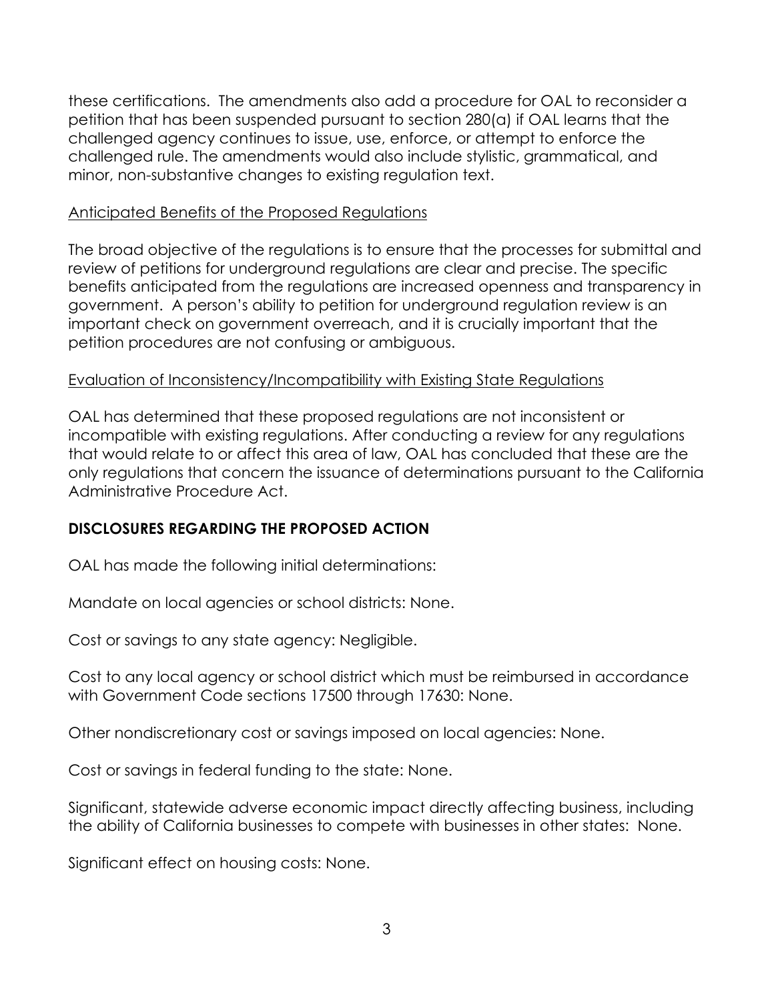these certifications. The amendments also add a procedure for OAL to reconsider a petition that has been suspended pursuant to section 280(a) if OAL learns that the challenged agency continues to issue, use, enforce, or attempt to enforce the challenged rule. The amendments would also include stylistic, grammatical, and minor, non-substantive changes to existing regulation text.

#### Anticipated Benefits of the Proposed Regulations

The broad objective of the regulations is to ensure that the processes for submittal and review of petitions for underground regulations are clear and precise. The specific benefits anticipated from the regulations are increased openness and transparency in government. A person's ability to petition for underground regulation review is an important check on government overreach, and it is crucially important that the petition procedures are not confusing or ambiguous.

#### Evaluation of Inconsistency/Incompatibility with Existing State Regulations

OAL has determined that these proposed regulations are not inconsistent or incompatible with existing regulations. After conducting a review for any regulations that would relate to or affect this area of law, OAL has concluded that these are the only regulations that concern the issuance of determinations pursuant to the California Administrative Procedure Act.

#### **DISCLOSURES REGARDING THE PROPOSED ACTION**

OAL has made the following initial determinations:

Mandate on local agencies or school districts: None.

Cost or savings to any state agency: Negligible.

Cost to any local agency or school district which must be reimbursed in accordance with Government Code sections 17500 through 17630: None.

Other nondiscretionary cost or savings imposed on local agencies: None.

Cost or savings in federal funding to the state: None.

Significant, statewide adverse economic impact directly affecting business, including the ability of California businesses to compete with businesses in other states: None.

Significant effect on housing costs: None.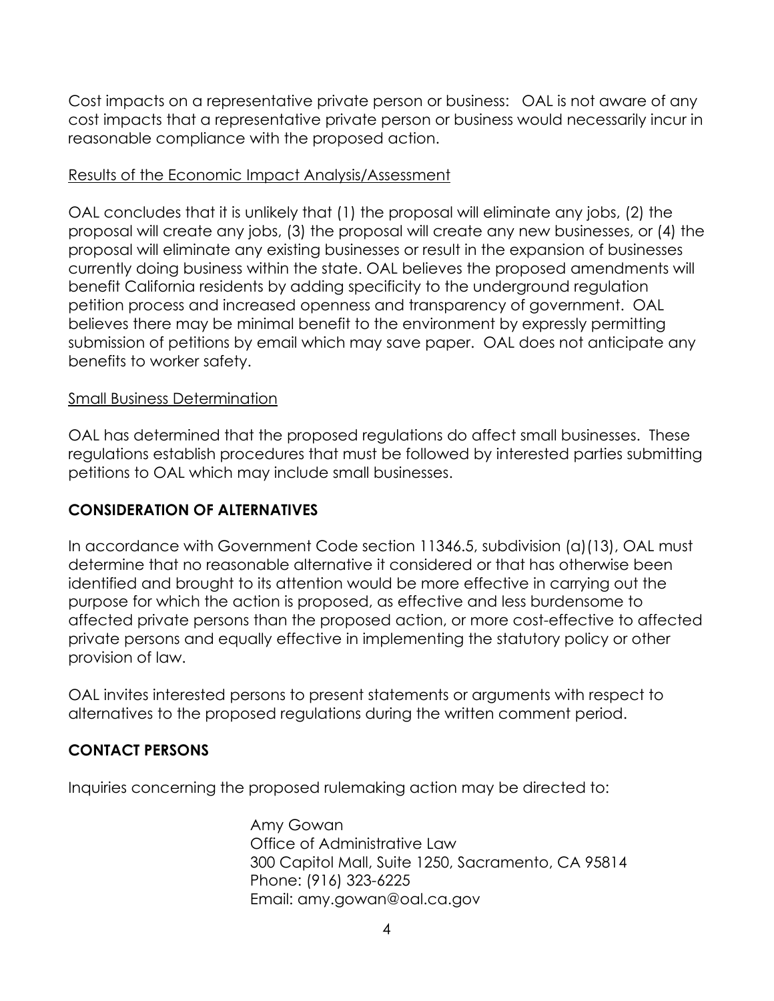Cost impacts on a representative private person or business: OAL is not aware of any cost impacts that a representative private person or business would necessarily incur in reasonable compliance with the proposed action.

#### Results of the Economic Impact Analysis/Assessment

OAL concludes that it is unlikely that (1) the proposal will eliminate any jobs, (2) the proposal will create any jobs, (3) the proposal will create any new businesses, or (4) the proposal will eliminate any existing businesses or result in the expansion of businesses currently doing business within the state. OAL believes the proposed amendments will benefit California residents by adding specificity to the underground regulation petition process and increased openness and transparency of government. OAL believes there may be minimal benefit to the environment by expressly permitting submission of petitions by email which may save paper. OAL does not anticipate any benefits to worker safety.

### Small Business Determination

OAL has determined that the proposed regulations do affect small businesses. These regulations establish procedures that must be followed by interested parties submitting petitions to OAL which may include small businesses.

# **CONSIDERATION OF ALTERNATIVES**

In accordance with Government Code section 11346.5, subdivision (a)(13), OAL must determine that no reasonable alternative it considered or that has otherwise been identified and brought to its attention would be more effective in carrying out the purpose for which the action is proposed, as effective and less burdensome to affected private persons than the proposed action, or more cost-effective to affected private persons and equally effective in implementing the statutory policy or other provision of law.

OAL invites interested persons to present statements or arguments with respect to alternatives to the proposed regulations during the written comment period.

# **CONTACT PERSONS**

Inquiries concerning the proposed rulemaking action may be directed to:

Amy Gowan Office of Administrative Law 300 Capitol Mall, Suite 1250, Sacramento, CA 95814 Phone: (916) 323-6225 Email: amy.gowan@oal.ca.gov